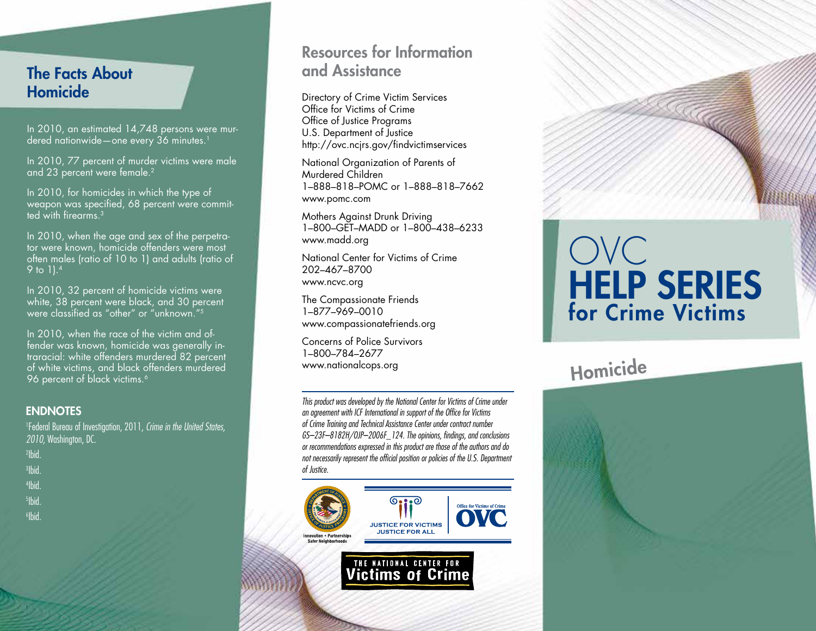### The Facts About Homicide

In 2010, an estimated 14,748 persons were murdered nationwide—one every 36 minutes.<sup>1</sup>

In 2010, 77 percent of murder victims were male and 23 percent were female.<sup>2</sup>

In 2010, for homicides in which the type of weapon was specified, 68 percent were committed with firearms.3

In 2010, when the age and sex of the perpetrator were known, homicide offenders were most often males (ratio of 10 to 1) and adults (ratio of 9 to 1).4

In 2010, 32 percent of homicide victims were white, 38 percent were black, and 30 percent were classified as "other" or "unknown."5

In 2010, when the race of the victim and offender was known, homicide was generally intraracial: white offenders murdered 82 percent of white victims, and black offenders murdered 96 percent of black victims.<sup>6</sup>

#### **ENDNOTES**

1 Federal Bureau of Investigation, 2011, *Crime in the United States, 2010,* Washington, DC.

- 2 Ibid.
- 3 Ibid.
- 4 Ibid.
- 5 Ibid.
- 6 Ibid.

### Resources for Information and Assistance

Directory of Crime Victim Services Office for Victims of Crime Office of Justice Programs U.S. Department of Justice http://ovc.ncjrs.gov/findvictimservices

National Organization of Parents of Murdered Children 1–888–818–POMC or 1–888–818–7662 www.pomc.com

Mothers Against Drunk Driving 1–800–GET–MADD or 1–800–438–6233 www.madd.org

National Center for Victims of Crime 202–467–8700 www.ncvc.org

The Compassionate Friends 1–877–969–0010 www.compassionatefriends.org

Concerns of Police Survivors 1–800–784–2677 www.nationalcops.org

*This product was developed by the National Center for Victims of Crime under an agreement with ICF International in support of the Office for Victims of Crime Training and Technical Assistance Center under contract number GS–23F–8182H/OJP–2006F\_124. The opinions, findings, and conclusions or recommendations expressed in this product are those of the authors and do not necessarily represent the official position or policies of the U.S. Department of Justice.*



# OVC HELP SERIES for Crime Victims